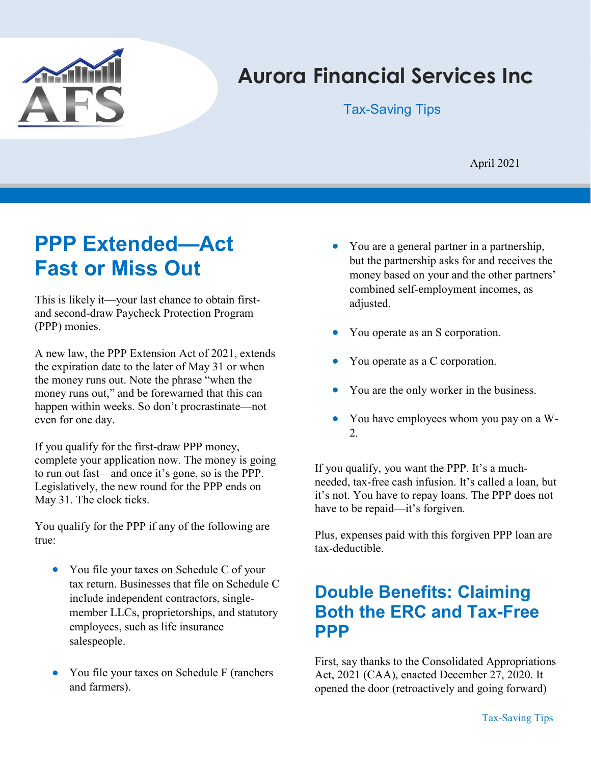

# Aurora Financial Services Inc

Tax-Saving Tips

April 2021

# PPP Extended—Act Fast or Miss Out

This is likely it—your last chance to obtain firstand second-draw Paycheck Protection Program (PPP) monies.

A new law, the PPP Extension Act of 2021, extends the expiration date to the later of May 31 or when the money runs out. Note the phrase "when the money runs out," and be forewarned that this can happen within weeks. So don't procrastinate—not even for one day.

If you qualify for the first-draw PPP money, complete your application now. The money is going to run out fast—and once it's gone, so is the PPP. Legislatively, the new round for the PPP ends on May 31. The clock ticks.

You qualify for the PPP if any of the following are true:

- You file your taxes on Schedule C of your tax return. Businesses that file on Schedule C include independent contractors, singlemember LLCs, proprietorships, and statutory employees, such as life insurance salespeople.
- You file your taxes on Schedule F (ranchers and farmers).
- You are a general partner in a partnership, but the partnership asks for and receives the money based on your and the other partners' combined self-employment incomes, as adjusted.
- You operate as an S corporation.
- You operate as a C corporation.
- You are the only worker in the business.
- You have employees whom you pay on a W-2.

If you qualify, you want the PPP. It's a muchneeded, tax-free cash infusion. It's called a loan, but it's not. You have to repay loans. The PPP does not have to be repaid—it's forgiven.

Plus, expenses paid with this forgiven PPP loan are tax-deductible.

# Double Benefits: Claiming Both the ERC and Tax-Free PPP

First, say thanks to the Consolidated Appropriations Act, 2021 (CAA), enacted December 27, 2020. It opened the door (retroactively and going forward)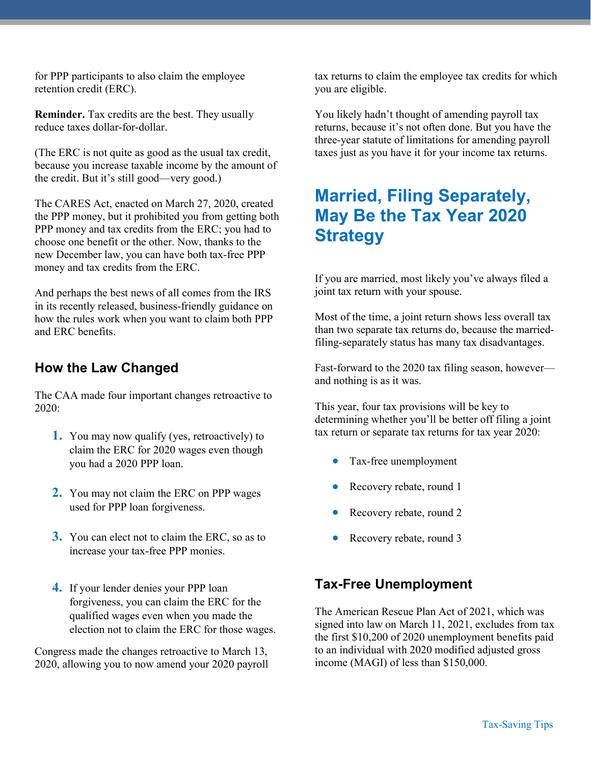for PPP participants to also claim the employee retention credit (ERC).

Reminder. Tax credits are the best. They usually reduce taxes dollar-for-dollar.

(The ERC is not quite as good as the usual tax credit, because you increase taxable income by the amount of the credit. But it's still good—very good.)

The CARES Act, enacted on March 27, 2020, created the PPP money, but it prohibited you from getting both PPP money and tax credits from the ERC; you had to choose one benefit or the other. Now, thanks to the new December law, you can have both tax-free PPP money and tax credits from the ERC.

And perhaps the best news of all comes from the IRS in its recently released, business-friendly guidance on how the rules work when you want to claim both PPP and ERC benefits.

## How the Law Changed

The CAA made four important changes retroactive to 2020:

- 1. You may now qualify (yes, retroactively) to claim the ERC for 2020 wages even though you had a 2020 PPP loan.
- 2. You may not claim the ERC on PPP wages used for PPP loan forgiveness.
- 3. You can elect not to claim the ERC, so as to increase your tax-free PPP monies.
- 4. If your lender denies your PPP loan forgiveness, you can claim the ERC for the qualified wages even when you made the election not to claim the ERC for those wages.

Congress made the changes retroactive to March 13, 2020, allowing you to now amend your 2020 payroll

tax returns to claim the employee tax credits for which you are eligible.

You likely hadn't thought of amending payroll tax returns, because it's not often done. But you have the three-year statute of limitations for amending payroll taxes just as you have it for your income tax returns.

# Married, Filing Separately, May Be the Tax Year 2020 **Strategy**

If you are married, most likely you've always filed a joint tax return with your spouse.

Most of the time, a joint return shows less overall tax than two separate tax returns do, because the marriedfiling-separately status has many tax disadvantages.

Fast-forward to the 2020 tax filing season, however and nothing is as it was.

This year, four tax provisions will be key to determining whether you'll be better off filing a joint tax return or separate tax returns for tax year 2020:

- Tax-free unemployment
- Recovery rebate, round 1
- Recovery rebate, round 2
- Recovery rebate, round 3

### Tax-Free Unemployment

The American Rescue Plan Act of 2021, which was signed into law on March 11, 2021, excludes from tax the first \$10,200 of 2020 unemployment benefits paid to an individual with 2020 modified adjusted gross income (MAGI) of less than \$150,000.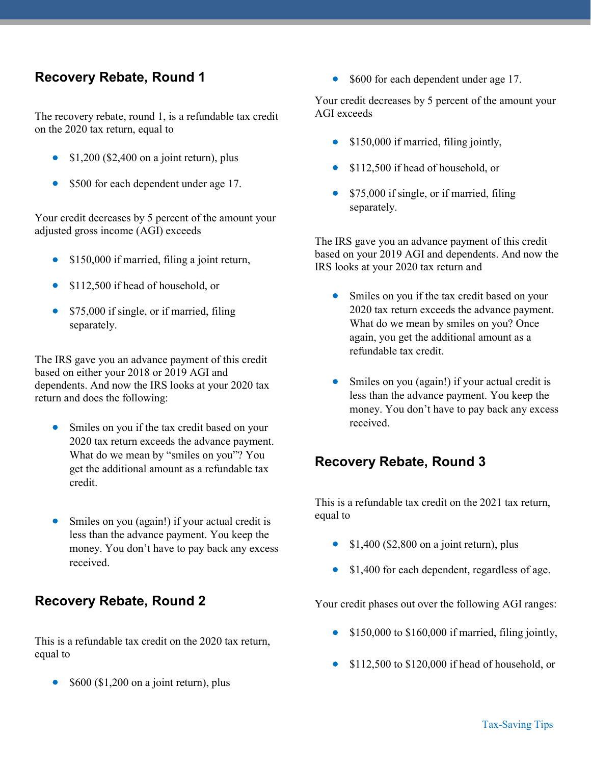### Recovery Rebate, Round 1

The recovery rebate, round 1, is a refundable tax credit on the 2020 tax return, equal to

- \$1,200 (\$2,400 on a joint return), plus
- \$500 for each dependent under age 17.

Your credit decreases by 5 percent of the amount your adjusted gross income (AGI) exceeds

- \$150,000 if married, filing a joint return,
- \$112,500 if head of household, or
- \$75,000 if single, or if married, filing separately.

The IRS gave you an advance payment of this credit based on either your 2018 or 2019 AGI and dependents. And now the IRS looks at your 2020 tax return and does the following:

- Smiles on you if the tax credit based on your 2020 tax return exceeds the advance payment. What do we mean by "smiles on you"? You get the additional amount as a refundable tax credit.
- Smiles on you (again!) if your actual credit is less than the advance payment. You keep the money. You don't have to pay back any excess received.

#### Recovery Rebate, Round 2

This is a refundable tax credit on the 2020 tax return, equal to

\$600 (\$1,200 on a joint return), plus

• \$600 for each dependent under age 17.

Your credit decreases by 5 percent of the amount your AGI exceeds

- \$150,000 if married, filing jointly,
- \$112,500 if head of household, or
- \$75,000 if single, or if married, filing separately.

The IRS gave you an advance payment of this credit based on your 2019 AGI and dependents. And now the IRS looks at your 2020 tax return and

- Smiles on you if the tax credit based on your 2020 tax return exceeds the advance payment. What do we mean by smiles on you? Once again, you get the additional amount as a refundable tax credit.
- Smiles on you (again!) if your actual credit is less than the advance payment. You keep the money. You don't have to pay back any excess received.

#### Recovery Rebate, Round 3

This is a refundable tax credit on the 2021 tax return, equal to

- $\bullet$  \$1,400 (\$2,800 on a joint return), plus
- \$1,400 for each dependent, regardless of age.

Your credit phases out over the following AGI ranges:

- \$150,000 to \$160,000 if married, filing jointly,
- **S112,500 to \$120,000 if head of household, or**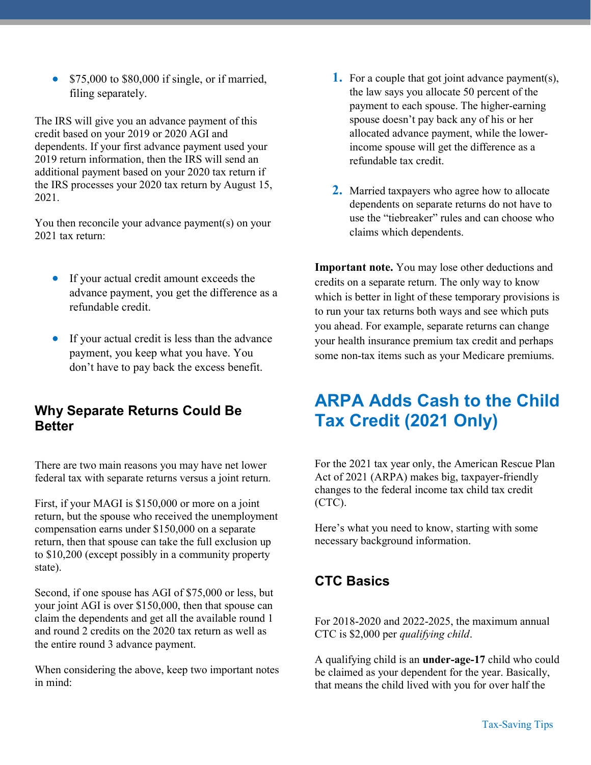• \$75,000 to \$80,000 if single, or if married, filing separately.

The IRS will give you an advance payment of this credit based on your 2019 or 2020 AGI and dependents. If your first advance payment used your 2019 return information, then the IRS will send an additional payment based on your 2020 tax return if the IRS processes your 2020 tax return by August 15, 2021.

You then reconcile your advance payment(s) on your 2021 tax return:

- If your actual credit amount exceeds the advance payment, you get the difference as a refundable credit.
- If your actual credit is less than the advance payment, you keep what you have. You don't have to pay back the excess benefit.

## Why Separate Returns Could Be Better

There are two main reasons you may have net lower federal tax with separate returns versus a joint return.

First, if your MAGI is \$150,000 or more on a joint return, but the spouse who received the unemployment compensation earns under \$150,000 on a separate return, then that spouse can take the full exclusion up to \$10,200 (except possibly in a community property state).

Second, if one spouse has AGI of \$75,000 or less, but your joint AGI is over \$150,000, then that spouse can claim the dependents and get all the available round 1 and round 2 credits on the 2020 tax return as well as the entire round 3 advance payment.

When considering the above, keep two important notes in mind:

- **1.** For a couple that got joint advance payment(s), the law says you allocate 50 percent of the payment to each spouse. The higher-earning spouse doesn't pay back any of his or her allocated advance payment, while the lowerincome spouse will get the difference as a refundable tax credit.
- 2. Married taxpayers who agree how to allocate dependents on separate returns do not have to use the "tiebreaker" rules and can choose who claims which dependents.

Important note. You may lose other deductions and credits on a separate return. The only way to know which is better in light of these temporary provisions is to run your tax returns both ways and see which puts you ahead. For example, separate returns can change your health insurance premium tax credit and perhaps some non-tax items such as your Medicare premiums.

# ARPA Adds Cash to the Child Tax Credit (2021 Only)

For the 2021 tax year only, the American Rescue Plan Act of 2021 (ARPA) makes big, taxpayer-friendly changes to the federal income tax child tax credit (CTC).

Here's what you need to know, starting with some necessary background information.

## CTC Basics

For 2018-2020 and 2022-2025, the maximum annual CTC is \$2,000 per qualifying child.

A qualifying child is an under-age-17 child who could be claimed as your dependent for the year. Basically, that means the child lived with you for over half the